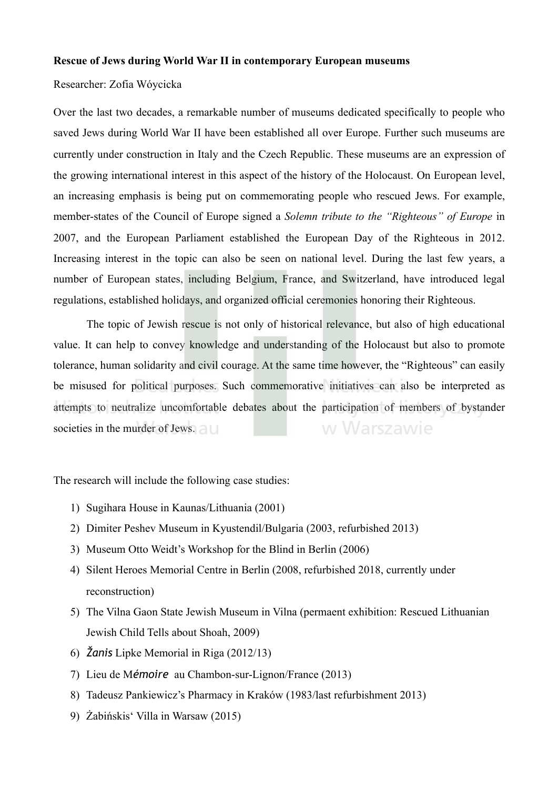## **Rescue of Jews during World War II in contemporary European museums**

## Researcher: Zofia Wóycicka

Over the last two decades, a remarkable number of museums dedicated specifically to people who saved Jews during World War II have been established all over Europe. Further such museums are currently under construction in Italy and the Czech Republic. These museums are an expression of the growing international interest in this aspect of the history of the Holocaust. On European level, an increasing emphasis is being put on commemorating people who rescued Jews. For example, member-states of the Council of Europe signed a *Solemn tribute to the "Righteous" of Europe* in 2007, and the European Parliament established the European Day of the Righteous in 2012. Increasing interest in the topic can also be seen on national level. During the last few years, a number of European states, including Belgium, France, and Switzerland, have introduced legal regulations, established holidays, and organized official ceremonies honoring their Righteous.

 The topic of Jewish rescue is not only of historical relevance, but also of high educational value. It can help to convey knowledge and understanding of the Holocaust but also to promote tolerance, human solidarity and civil courage. At the same time however, the "Righteous" can easily be misused for political purposes. Such commemorative initiatives can also be interpreted as attempts to neutralize uncomfortable debates about the participation of members of bystander w Warszawie societies in the murder of Jews.

The research will include the following case studies:

- 1) Sugihara House in Kaunas/Lithuania (2001)
- 2) Dimiter Peshev Museum in Kyustendil/Bulgaria (2003, refurbished 2013)
- 3) Museum Otto Weidt's Workshop for the Blind in Berlin (2006)
- 4) Silent Heroes Memorial Centre in Berlin (2008, refurbished 2018, currently under reconstruction)
- 5) The Vilna Gaon State Jewish Museum in Vilna (permaent exhibition: Rescued Lithuanian Jewish Child Tells about Shoah, 2009)
- 6) *Žanis* Lipke Memorial in Riga (2012/13)
- 7) Lieu de M*émoire* au Chambon-sur-Lignon/France (2013)
- 8) Tadeusz Pankiewicz's Pharmacy in Kraków (1983/last refurbishment 2013)
- 9) Żabińskis' Villa in Warsaw (2015)